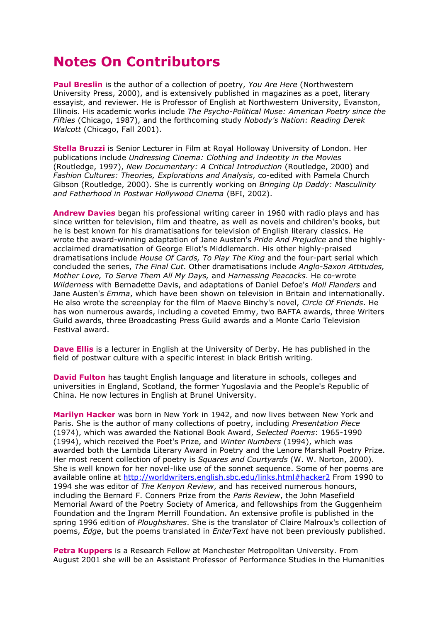## **Notes On Contributors**

**Paul Breslin** is the author of a collection of poetry, *You Are Here* (Northwestern University Press, 2000), and is extensively published in magazines as a poet, literary essayist, and reviewer. He is Professor of English at Northwestern University, Evanston, Illinois. His academic works include *The Psycho-Political Muse: American Poetry since the Fifties* (Chicago, 1987), and the forthcoming study *Nobody's Nation: Reading Derek Walcott* (Chicago, Fall 2001).

**Stella Bruzzi** is Senior Lecturer in Film at Royal Holloway University of London. Her publications include *Undressing Cinema: Clothing and Indentity in the Movies* (Routledge, 1997), *New Documentary: A Critical Introduction* (Routledge, 2000) and *Fashion Cultures: Theories, Explorations and Analysis*, co-edited with Pamela Church Gibson (Routledge, 2000). She is currently working on *Bringing Up Daddy: Masculinity and Fatherhood in Postwar Hollywood Cinema* (BFI, 2002).

**Andrew Davies** began his professional writing career in 1960 with radio plays and has since written for television, film and theatre, as well as novels and children's books, but he is best known for his dramatisations for television of English literary classics. He wrote the award-winning adaptation of Jane Austen's *Pride And Prejudice* and the highlyacclaimed dramatisation of George Eliot's Middlemarch. His other highly-praised dramatisations include *House Of Cards, To Play The King* and the four-part serial which concluded the series, *The Final Cut*. Other dramatisations include *Anglo-Saxon Attitudes, Mother Love, To Serve Them All My Days,* and *Harnessing Peacocks*. He co-wrote *Wilderness* with Bernadette Davis, and adaptations of Daniel Defoe's *Moll Flanders* and Jane Austen's *Emma*, which have been shown on television in Britain and internationally. He also wrote the screenplay for the film of Maeve Binchy's novel, *Circle Of Friends*. He has won numerous awards, including a coveted Emmy, two BAFTA awards, three Writers Guild awards, three Broadcasting Press Guild awards and a Monte Carlo Television Festival award.

**Dave Ellis** is a lecturer in English at the University of Derby. He has published in the field of postwar culture with a specific interest in black British writing.

**David Fulton** has taught English language and literature in schools, colleges and universities in England, Scotland, the former Yugoslavia and the People's Republic of China. He now lectures in English at Brunel University.

**Marilyn Hacker** was born in New York in 1942, and now lives between New York and Paris. She is the author of many collections of poetry, including *Presentation Piece* (1974), which was awarded the National Book Award, *Selected Poems*: 1965-1990 (1994), which received the Poet's Prize, and *Winter Numbers* (1994), which was awarded both the Lambda Literary Award in Poetry and the Lenore Marshall Poetry Prize. Her most recent collection of poetry is *Squares and Courtyards* (W. W. Norton, 2000). She is well known for her novel-like use of the sonnet sequence. Some of her poems are available online at<http://worldwriters.english.sbc.edu/links.html#hacker2> From 1990 to 1994 she was editor of *The Kenyon Review*, and has received numerous honours, including the Bernard F. Conners Prize from the *Paris Review*, the John Masefield Memorial Award of the Poetry Society of America, and fellowships from the Guggenheim Foundation and the Ingram Merrill Foundation. An extensive profile is published in the spring 1996 edition of *Ploughshares*. She is the translator of Claire Malroux's collection of poems, *Edge*, but the poems translated in *EnterText* have not been previously published.

**Petra Kuppers** is a Research Fellow at Manchester Metropolitan University. From August 2001 she will be an Assistant Professor of Performance Studies in the Humanities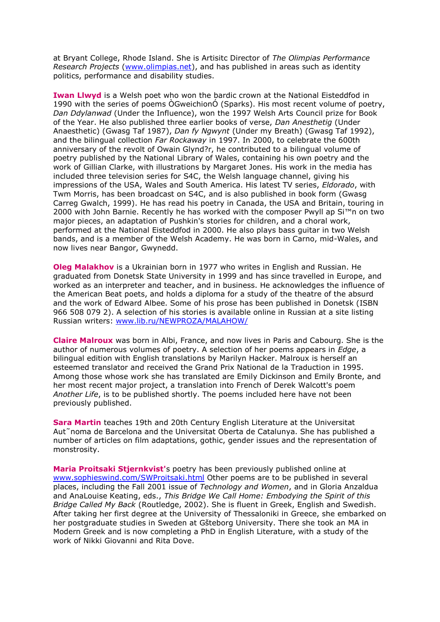at Bryant College, Rhode Island. She is Artisitc Director of *The Olimpias Performance Research Projects* [\(www.olimpias.net\)](http://www.olimpias.net/), and has published in areas such as identity politics, performance and disability studies.

**Iwan Llwyd** is a Welsh poet who won the bardic crown at the National Eisteddfod in 1990 with the series of poems ÒGweichionÓ (Sparks). His most recent volume of poetry, *Dan Ddylanwad* (Under the Influence), won the 1997 Welsh Arts Council prize for Book of the Year. He also published three earlier books of verse, *Dan Anesthetig* (Under Anaesthetic) (Gwasg Taf 1987), *Dan fy Ngwynt* (Under my Breath) (Gwasg Taf 1992), and the bilingual collection *Far Rockaway* in 1997. In 2000, to celebrate the 600th anniversary of the revolt of Owain Glynd?r, he contributed to a bilingual volume of poetry published by the National Library of Wales, containing his own poetry and the work of Gillian Clarke, with illustrations by Margaret Jones. His work in the media has included three television series for S4C, the Welsh language channel, giving his impressions of the USA, Wales and South America. His latest TV series, *Eldorado*, with Twm Morris, has been broadcast on S4C, and is also published in book form (Gwasg Carreg Gwalch, 1999). He has read his poetry in Canada, the USA and Britain, touring in 2000 with John Barnie. Recently he has worked with the composer Pwyll ap Si™n on two major pieces, an adaptation of Pushkin's stories for children, and a choral work, performed at the National Eisteddfod in 2000. He also plays bass guitar in two Welsh bands, and is a member of the Welsh Academy. He was born in Carno, mid-Wales, and now lives near Bangor, Gwynedd.

**Oleg Malakhov** is a Ukrainian born in 1977 who writes in English and Russian. He graduated from Donetsk State University in 1999 and has since travelled in Europe, and worked as an interpreter and teacher, and in business. He acknowledges the influence of the American Beat poets, and holds a diploma for a study of the theatre of the absurd and the work of Edward Albee. Some of his prose has been published in Donetsk (ISBN 966 508 079 2). A selection of his stories is available online in Russian at a site listing Russian writers: [www.lib.ru/NEWPROZA/MALAHOW/](http://www.lib.ru/NEWPROZA/MALAHOW/)

**Claire Malroux** was born in Albi, France, and now lives in Paris and Cabourg. She is the author of numerous volumes of poetry. A selection of her poems appears in *Edge*, a bilingual edition with English translations by Marilyn Hacker. Malroux is herself an esteemed translator and received the Grand Prix National de la Traduction in 1995. Among those whose work she has translated are Emily Dickinson and Emily Bronte, and her most recent major project, a translation into French of Derek Walcott's poem *Another Life*, is to be published shortly. The poems included here have not been previously published.

**Sara Martin** teaches 19th and 20th Century English Literature at the Universitat Aut˜noma de Barcelona and the Universitat Oberta de Catalunya. She has published a number of articles on film adaptations, gothic, gender issues and the representation of monstrosity.

**Maria Proitsaki Stjernkvist'**s poetry has been previously published online at [www.sophieswind.com/SWProitsaki.html](http://www.sophieswind.com/SWProitsaki.html) Other poems are to be published in several places, including the Fall 2001 issue of *Technology and Women*, and in Gloria Anzaldua and AnaLouise Keating, eds., *This Bridge We Call Home: Embodying the Spirit of this Bridge Called My Back* (Routledge, 2002). She is fluent in Greek, English and Swedish. After taking her first degree at the University of Thessaloniki in Greece, she embarked on her postgraduate studies in Sweden at Gšteborg University. There she took an MA in Modern Greek and is now completing a PhD in English Literature, with a study of the work of Nikki Giovanni and Rita Dove.